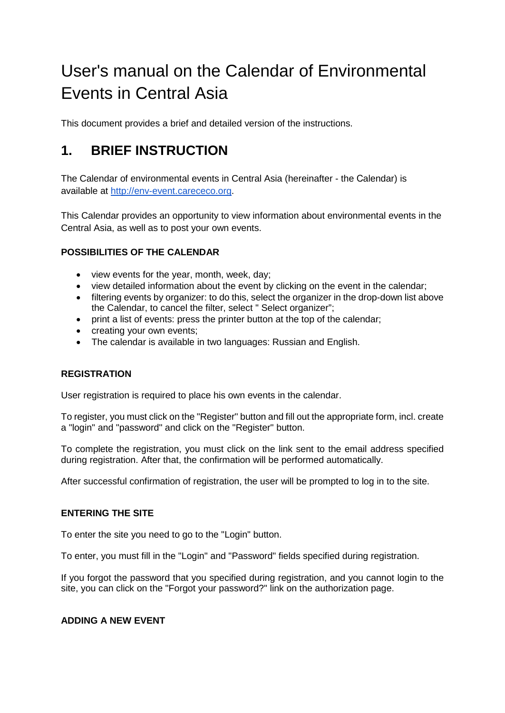# User's manual on the Calendar of Environmental Events in Central Asia

This document provides a brief and detailed version of the instructions.

# **1. BRIEF INSTRUCTION**

The Calendar of environmental events in Central Asia (hereinafter - the Сalendar) is available at [http://env-event.carececo.org.](http://env-event.carececo.org/)

This Calendar provides an opportunity to view information about environmental events in the Central Asia, as well as to post your own events.

### **POSSIBILITIES OF THE CALENDAR**

- view events for the year, month, week, day;
- view detailed information about the event by clicking on the event in the calendar;
- filtering events by organizer: to do this, select the organizer in the drop-down list above the Calendar, to cancel the filter, select " Select organizer";
- print a list of events: press the printer button at the top of the calendar;
- creating your own events;
- The calendar is available in two languages: Russian and English.

### **REGISTRATION**

User registration is required to place his own events in the calendar.

To register, you must click on the "Register" button and fill out the appropriate form, incl. create a "login" and "password" and click on the "Register" button.

To complete the registration, you must click on the link sent to the email address specified during registration. After that, the confirmation will be performed automatically.

After successful confirmation of registration, the user will be prompted to log in to the site.

### **ENTERING THE SITE**

To enter the site you need to go to the "Login" button.

To enter, you must fill in the "Login" and "Password" fields specified during registration.

If you forgot the password that you specified during registration, and you cannot login to the site, you can click on the "Forgot your password?" link on the authorization page.

### **ADDING A NEW EVENT**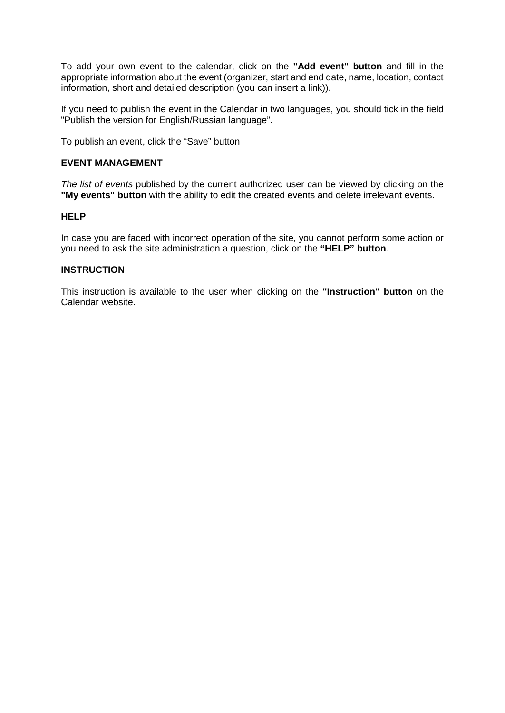To add your own event to the calendar, click on the **"Add event" button** and fill in the appropriate information about the event (organizer, start and end date, name, location, contact information, short and detailed description (you can insert a link)).

If you need to publish the event in the Calendar in two languages, you should tick in the field "Publish the version for English/Russian language".

To publish an event, click the "Save" button

### **EVENT MANAGEMENT**

*The list of events* published by the current authorized user can be viewed by clicking on the **"My events" button** with the ability to edit the created events and delete irrelevant events.

#### **HELP**

In case you are faced with incorrect operation of the site, you cannot perform some action or you need to ask the site administration a question, click on the **"HELP" button**.

#### **INSTRUCTION**

This instruction is available to the user when clicking on the **"Instruction" button** on the Calendar website.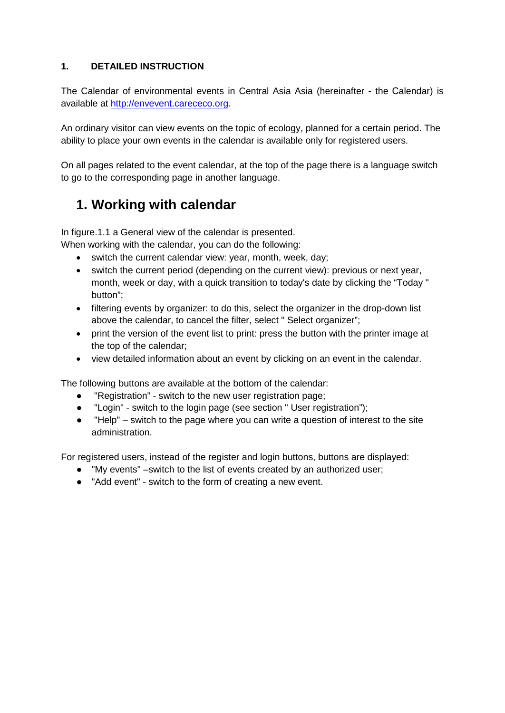### **1. DETAILED INSTRUCTION**

The Calendar of environmental events in Central Asia Asia (hereinafter - the Сalendar) is available at [http://envevent.carececo.org.](http://envevent.carececo.org/)

An ordinary visitor can view events on the topic of ecology, planned for a certain period. The ability to place your own events in the calendar is available only for registered users.

On all pages related to the event calendar, at the top of the page there is a language switch to go to the corresponding page in another language.

# **1. Working with calendar**

In figure.1.1 a General view of the calendar is presented.

When working with the calendar, you can do the following:

- switch the current calendar view: year, month, week, day;
- switch the current period (depending on the current view): previous or next year, month, week or day, with a quick transition to today's date by clicking the "Today " button";
- filtering events by organizer: to do this, select the organizer in the drop-down list above the calendar, to cancel the filter, select " Select organizer";
- print the version of the event list to print: press the button with the printer image at the top of the calendar;
- view detailed information about an event by clicking on an event in the calendar.

The following buttons are available at the bottom of the calendar:

- "Registration" switch to the new user registration page;
- "Login" switch to the login page (see section " User registration");
- "Help" switch to the page where you can write a question of interest to the site administration.

For registered users, instead of the register and login buttons, buttons are displayed:

- "My events" –switch to the list of events created by an authorized user;
- "Add event" switch to the form of creating a new event.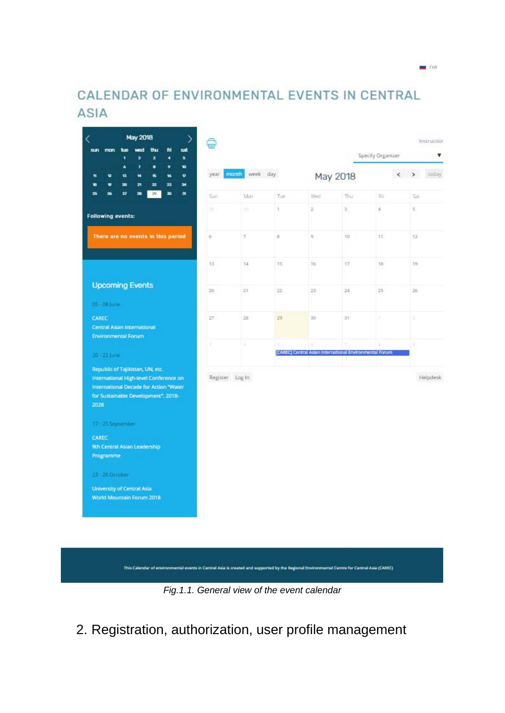# CALENDAR OF ENVIRONMENTAL EVENTS IN CENTRAL **ASIA**

 $-$  rus

| <b>May 2018</b><br>↘<br>thu<br>hie<br>wed<br>fri<br>sat<br>sin<br>mon<br>2<br>s<br>٠<br>s.<br>٠                                                                     |                 |                    |     |                                                         |                         | Specify Organizer | Instruction<br>v            |
|---------------------------------------------------------------------------------------------------------------------------------------------------------------------|-----------------|--------------------|-----|---------------------------------------------------------|-------------------------|-------------------|-----------------------------|
| ÿ.<br>۵<br>s<br>Ŷ.<br>w<br>售<br>w<br>Ŵ.<br>12<br>售<br>w<br>Ħ<br>21<br>22<br>23<br>×<br>ŵ<br>20<br>÷                                                                 | year.           | month<br>week day. |     |                                                         | May 2018                |                   | $\longleftrightarrow$ today |
| 26<br>v<br>28<br>29<br>m<br>31<br>25                                                                                                                                | Sun             | Mon-               | Tue | Wed                                                     | Thu                     | Fri-              | Sat                         |
| <b>Following events:</b>                                                                                                                                            | 29.1            | m                  | ï   | ż                                                       | $\overline{\mathbf{z}}$ | $\overline{4}$    | s.                          |
| There are no events in this period                                                                                                                                  | Ġ.              | 7.                 | ä   | g:                                                      | 10                      | 11                | $12^{-}$                    |
|                                                                                                                                                                     | 13              | 14.                | 15  | $16 -$                                                  | 17                      | 18                | 19                          |
| <b>Upcoming Events</b>                                                                                                                                              | 20              | 21                 | 22  | 23                                                      | 24                      | 25                | 26                          |
| 05 - 08 June                                                                                                                                                        |                 |                    |     |                                                         |                         |                   |                             |
| <b>CAREC</b><br>Central Asian International                                                                                                                         | 27              | 28                 | 29  | 30                                                      | 31                      | ×                 | ž,                          |
| <b>Environmental Forum</b>                                                                                                                                          | x               | ä,                 | ź   |                                                         |                         |                   | ÿ                           |
| 20 - 22 June                                                                                                                                                        |                 |                    |     | [CAREC] Central Asian International Environmental Forum |                         |                   |                             |
| Republic of Tajikistan, UN, etc.<br>International High-level Conference on<br>International Decade for Action "Water<br>for Sustainable Development", 2018-<br>2028 | Register Log In |                    |     |                                                         |                         |                   | Helpdesk                    |
| 17 - 25 September                                                                                                                                                   |                 |                    |     |                                                         |                         |                   |                             |
| <b>CAREC</b>                                                                                                                                                        |                 |                    |     |                                                         |                         |                   |                             |
| 9th Central Asian Leadership<br>Programme                                                                                                                           |                 |                    |     |                                                         |                         |                   |                             |
| 23 - 26 October                                                                                                                                                     |                 |                    |     |                                                         |                         |                   |                             |
| <b>University of Central Asia</b><br>World Mountain Forum 2018                                                                                                      |                 |                    |     |                                                         |                         |                   |                             |



2. Registration, authorization, user profile management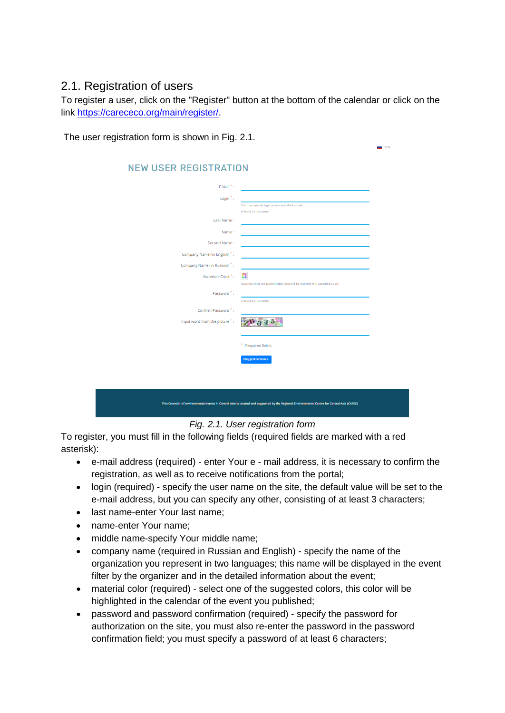# 2.1. Registration of users

To register a user, click on the "Register" button at the bottom of the calendar or click on the link [https://carececo.org/main/register/.](https://carececo.org/main/register/)

 $\blacksquare$  rus

The user registration form is shown in Fig. 2.1.

| <b>NEW USER REGISTRATION</b>  |                                                                                                                                              |
|-------------------------------|----------------------------------------------------------------------------------------------------------------------------------------------|
| E-Mail <sup>*</sup> :         |                                                                                                                                              |
| Login <sup>*</sup> :          |                                                                                                                                              |
|                               | You may specify login or use specified e-mail.<br>At least 3 characters.                                                                     |
| Last Name:                    |                                                                                                                                              |
| Name:                         |                                                                                                                                              |
| Second Name:                  |                                                                                                                                              |
| Company Name (in English) *:  |                                                                                                                                              |
| Company Name (in Russian) ":  |                                                                                                                                              |
| Materials Color ":            | n                                                                                                                                            |
| Password <sup>*</sup> :       | Materials that are published by you will be marked with specified color.                                                                     |
|                               | At least 6 characters.                                                                                                                       |
| Confirm Password ":           |                                                                                                                                              |
| Input word from the picture": |                                                                                                                                              |
|                               |                                                                                                                                              |
|                               | * - Required fields.                                                                                                                         |
|                               | <b>Registrations</b>                                                                                                                         |
|                               |                                                                                                                                              |
|                               |                                                                                                                                              |
|                               |                                                                                                                                              |
|                               | This Calendar of environmental events in Central Asia is created and supported by the Regional Environmental Centre for Central Asia (CAREC) |

*Fig. 2.1. User registration form*

To register, you must fill in the following fields (required fields are marked with a red asterisk):

- e-mail address (required) enter Your e mail address, it is necessary to confirm the registration, as well as to receive notifications from the portal;
- login (required) specify the user name on the site, the default value will be set to the e-mail address, but you can specify any other, consisting of at least 3 characters;
- last name-enter Your last name;
- name-enter Your name;
- middle name-specify Your middle name;
- company name (required in Russian and English) specify the name of the organization you represent in two languages; this name will be displayed in the event filter by the organizer and in the detailed information about the event;
- material color (required) select one of the suggested colors, this color will be highlighted in the calendar of the event you published;
- password and password confirmation (required) specify the password for authorization on the site, you must also re-enter the password in the password confirmation field; you must specify a password of at least 6 characters;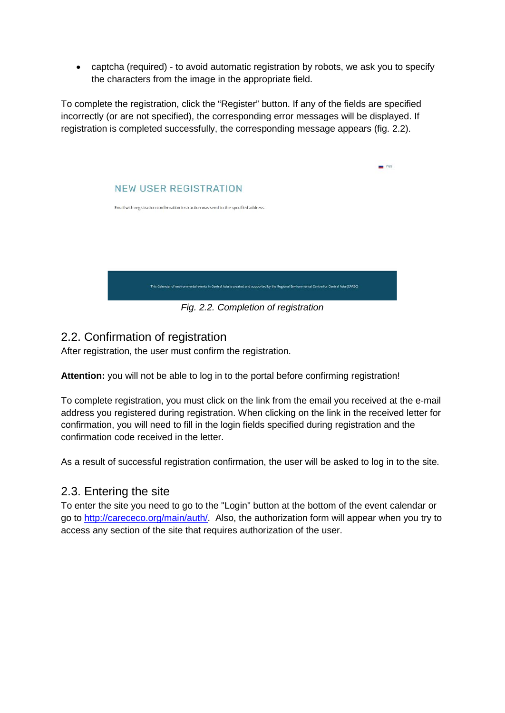• captcha (required) - to avoid automatic registration by robots, we ask you to specify the characters from the image in the appropriate field.

To complete the registration, click the "Register" button. If any of the fields are specified incorrectly (or are not specified), the corresponding error messages will be displayed. If registration is completed successfully, the corresponding message appears (fig. 2.2).



*Fig. 2.2. Completion of registration*

# 2.2. Confirmation of registration

After registration, the user must confirm the registration.

**Attention:** you will not be able to log in to the portal before confirming registration!

To complete registration, you must click on the link from the email you received at the e-mail address you registered during registration. When clicking on the link in the received letter for confirmation, you will need to fill in the login fields specified during registration and the confirmation code received in the letter.

As a result of successful registration confirmation, the user will be asked to log in to the site.

### 2.3. Entering the site

To enter the site you need to go to the "Login" button at the bottom of the event calendar or go to [http://carececo.org/main/auth/.](http://carececo.org/main/auth/) Also, the authorization form will appear when you try to access any section of the site that requires authorization of the user.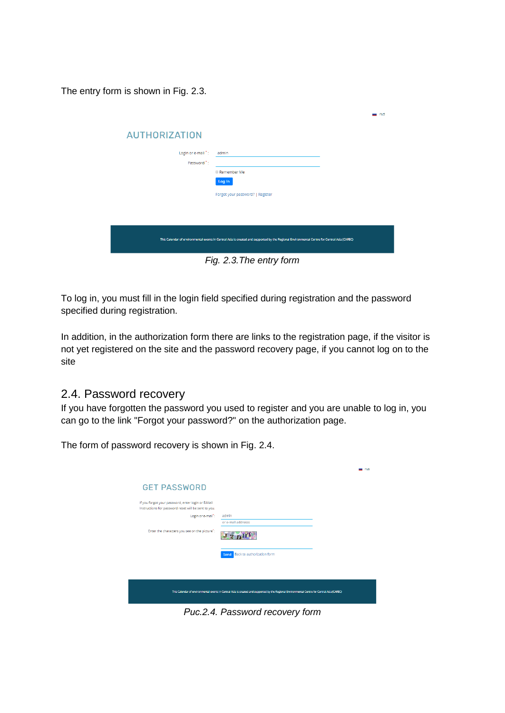The entry form is shown in Fig. 2.3.

|                                                                                                                                              |                                  | rus |  |
|----------------------------------------------------------------------------------------------------------------------------------------------|----------------------------------|-----|--|
| <b>AUTHORIZATION</b>                                                                                                                         |                                  |     |  |
| Login or e-mail *:                                                                                                                           | admin                            |     |  |
| Password <sup>*</sup> :                                                                                                                      |                                  |     |  |
|                                                                                                                                              | <b>I</b> Remember Me             |     |  |
|                                                                                                                                              | Log In                           |     |  |
|                                                                                                                                              | Forgot your password?   Register |     |  |
|                                                                                                                                              |                                  |     |  |
|                                                                                                                                              |                                  |     |  |
|                                                                                                                                              |                                  |     |  |
| This Calendar of environmental events in Central Asia is created and supported by the Regional Environmental Centre for Central Asia (CAREC) |                                  |     |  |
|                                                                                                                                              |                                  |     |  |

*Fig. 2.3.The entry form*

To log in, you must fill in the login field specified during registration and the password specified during registration.

In addition, in the authorization form there are links to the registration page, if the visitor is not yet registered on the site and the password recovery page, if you cannot log on to the site

### 2.4. Password recovery

If you have forgotten the password you used to register and you are unable to log in, you can go to the link "Forgot your password?" on the authorization page.

The form of password recovery is shown in Fig. 2.4.

|                                                                                                                                              |                                    | rus |  |
|----------------------------------------------------------------------------------------------------------------------------------------------|------------------------------------|-----|--|
| <b>GET PASSWORD</b>                                                                                                                          |                                    |     |  |
| If you forgot your password, enter login or E-Mail<br>Instructions for password reset will be sent to you.                                   |                                    |     |  |
| Login or e-mail":                                                                                                                            | admin<br>or e-mail addresss        |     |  |
| Enter the characters you see on the picture":                                                                                                |                                    |     |  |
|                                                                                                                                              | Back to authorization form<br>Send |     |  |
|                                                                                                                                              |                                    |     |  |
| This Calendar of environmental events in Central Asia is created and supported by the Regional Environmental Centre for Central Asia (CAREC) |                                    |     |  |
|                                                                                                                                              |                                    |     |  |

*Рис.2.4. Password recovery form*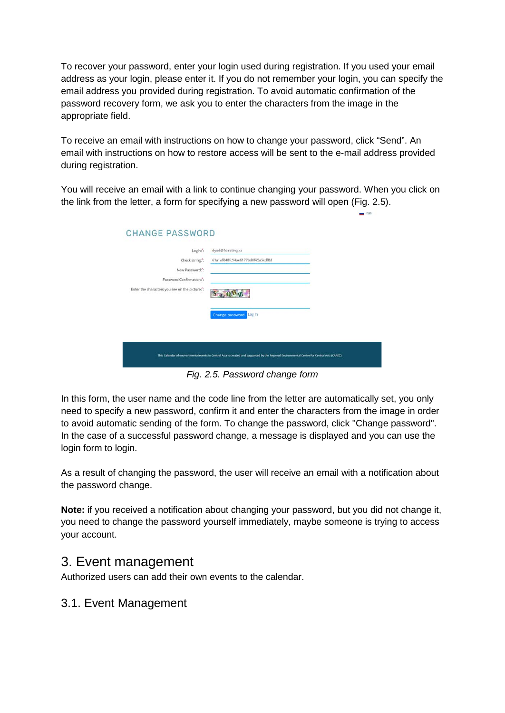To recover your password, enter your login used during registration. If you used your email address as your login, please enter it. If you do not remember your login, you can specify the email address you provided during registration. To avoid automatic confirmation of the password recovery form, we ask you to enter the characters from the image in the appropriate field.

To receive an email with instructions on how to change your password, click "Send". An email with instructions on how to restore access will be sent to the e-mail address provided during registration.

You will receive an email with a link to continue changing your password. When you click on the link from the letter, a form for specifying a new password will open (Fig. 2.5).

| Login:":                                       | dyod@1c-rating.kz                |  |
|------------------------------------------------|----------------------------------|--|
| Check string:":                                | 61a1af848fc94ae6177bd0f65a5cdf8d |  |
| New Password:":                                |                                  |  |
| Password Confirmation:":                       |                                  |  |
| Enter the characters you see on the picture:": |                                  |  |
|                                                | Change password<br>Log in        |  |
|                                                |                                  |  |
|                                                |                                  |  |

*Fig. 2.5. Password change form*

In this form, the user name and the code line from the letter are automatically set, you only need to specify a new password, confirm it and enter the characters from the image in order to avoid automatic sending of the form. To change the password, click "Change password". In the case of a successful password change, a message is displayed and you can use the login form to login.

As a result of changing the password, the user will receive an email with a notification about the password change.

**Note:** if you received a notification about changing your password, but you did not change it, you need to change the password yourself immediately, maybe someone is trying to access your account.

# 3. Event management

Authorized users can add their own events to the calendar.

### 3.1. Event Management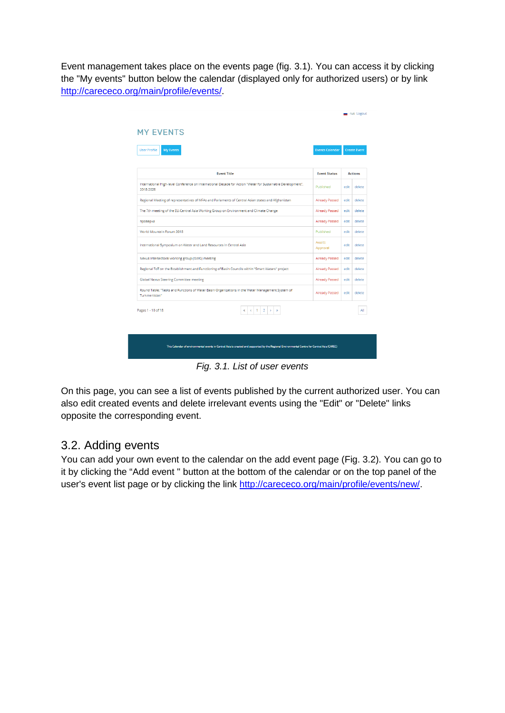Event management takes place on the events page (fig. 3.1). You can access it by clicking the "My events" button below the calendar (displayed only for authorized users) or by link [http://carececo.org/main/profile/events/.](http://carececo.org/main/profile/events/)

| <b>User Profile</b><br><b>My Events</b>                                                                                  | <b>Events Calendar</b> |      | <b>Create Event</b> |
|--------------------------------------------------------------------------------------------------------------------------|------------------------|------|---------------------|
| <b>Event Title</b>                                                                                                       | <b>Event Status</b>    |      | <b>Actions</b>      |
| International High-level Conference on International Decade for Action "Water for Sustainable Development",<br>2018-2028 | Published              | edit | delete              |
| Regional Meeting of representatives of MFAs and Parlaments of Central Asian states and Afghanistan                       | <b>Already Passed</b>  | edit | delete              |
| The 7th meeting of the EU-Central Asia Working Group on Environment and Climate Change                                   | <b>Already Passed</b>  | edit | delete              |
| проверка                                                                                                                 | <b>Already Passed</b>  | edit | delete              |
| World Mountain Forum 2018                                                                                                | Published              | edit | delete              |
| International Symposium on Water and Land Resources in Central Asia                                                      | Awaits<br>Approval     | edit | delete              |
| Nexus Intersectoral working group (ISWG) meeting                                                                         | Already Passed         | edit | delete              |
| Regional ToT on the Establishment and Functioning of Basin Councils within "Smart Waters" project                        | <b>Already Passed</b>  | edit | delete              |
| <b>Global Nexus Steering Committee meeting</b>                                                                           | <b>Already Passed</b>  | edit | delete              |
| Round Table: "Tasks and Functions of Water Basin Organizations in the Water Management System of<br>Turkmenistan"        | Already Passed         | edit | delete              |
| $\mathbf{1}$<br>$\overline{2}$<br>$\rightarrow$<br>Pages 1 - 10 of 18<br>$\epsilon$<br>$\gg$<br>ĸ                        |                        |      | All                 |
|                                                                                                                          |                        |      |                     |

*Fig. 3.1. List of user events*

On this page, you can see a list of events published by the current authorized user. You can also edit created events and delete irrelevant events using the "Edit" or "Delete" links opposite the corresponding event.

### 3.2. Adding events

You can add your own event to the calendar on the add event page (Fig. 3.2). You can go to it by clicking the "Add event " button at the bottom of the calendar or on the top panel of the user's event list page or by clicking the link [http://carececo.org/main/profile/events/new/.](http://carececo.org/main/profile/events/new/)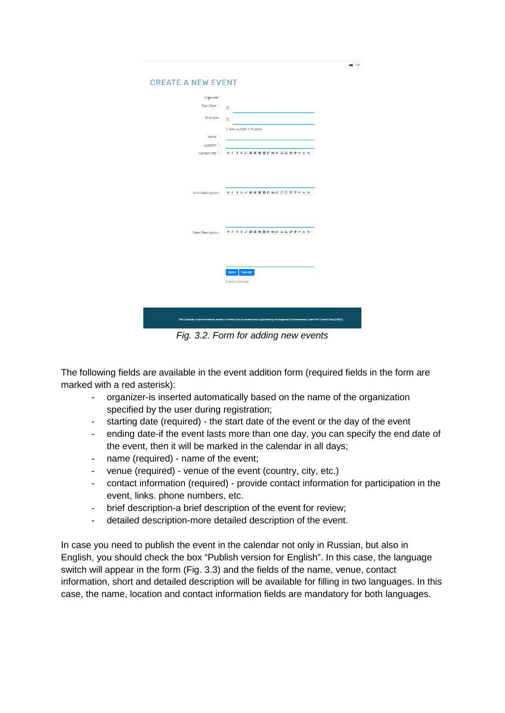| <b>CREATE A NEW EVENT</b>                                                                                                                    |                                                 |  |  |
|----------------------------------------------------------------------------------------------------------------------------------------------|-------------------------------------------------|--|--|
| Organizer:                                                                                                                                   |                                                 |  |  |
| Start Date":                                                                                                                                 | $\overline{\mathbf{u}}$                         |  |  |
| End Date:                                                                                                                                    | $\overline{1}$                                  |  |  |
|                                                                                                                                              | <b>B</b> Also publish in Russian                |  |  |
| Name <sup>*</sup> :                                                                                                                          |                                                 |  |  |
| Location <sup>*</sup> :                                                                                                                      |                                                 |  |  |
|                                                                                                                                              | Contact Info*: B Z U G Z 暖暖圖圖的 M 新任日 送送所 A W    |  |  |
|                                                                                                                                              | Short Description: B J U S 2 暖暖圖目の映影 田田 建建H A A |  |  |
| Detail Description:                                                                                                                          | B Z U S 2 吸吸医胃的 M E E E 该该H A W                 |  |  |
|                                                                                                                                              | Cancel<br>Save<br><b>Events Calendar</b>        |  |  |
| This Calendar of environmental events in Central Asia is created and supported by the Regional Environmental Centre for Central Asia (CAREC) |                                                 |  |  |

 $\frac{1}{2}$  rus

*Fig. 3.2. Form for adding new events*

The following fields are available in the event addition form (required fields in the form are marked with a red asterisk):

- organizer-is inserted automatically based on the name of the organization specified by the user during registration;
- starting date (required) the start date of the event or the day of the event
- ending date-if the event lasts more than one day, you can specify the end date of the event, then it will be marked in the calendar in all days;
- name (required) name of the event;
- venue (required) venue of the event (country, city, etc.)
- contact information (required) provide contact information for participation in the event, links. phone numbers, etc.
- brief description-a brief description of the event for review;
- detailed description-more detailed description of the event.

In case you need to publish the event in the calendar not only in Russian, but also in English, you should check the box "Publish version for English". In this case, the language switch will appear in the form (Fig. 3.3) and the fields of the name, venue, contact information, short and detailed description will be available for filling in two languages. In this case, the name, location and contact information fields are mandatory for both languages.